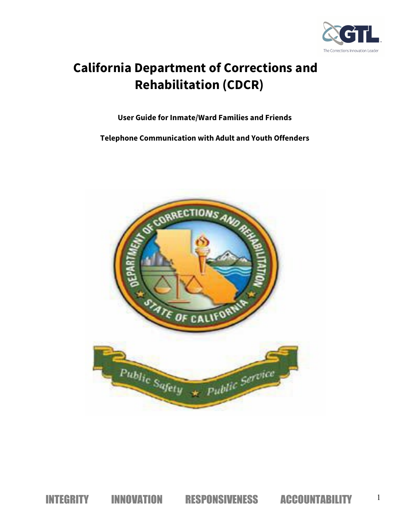

# **California Department of Corrections and Rehabilitation (CDCR)**

**User Guide for Inmate/Ward Families and Friends**

**Telephone Communication with Adult and Youth Offenders** 

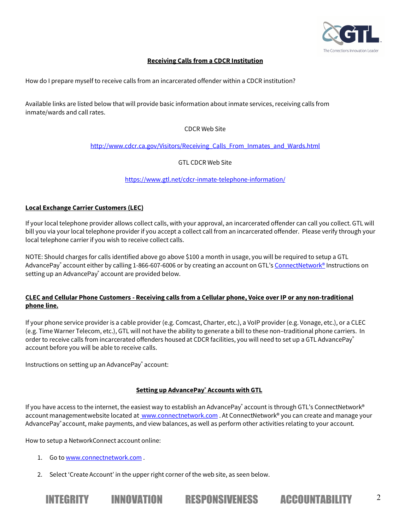

## **Receiving Calls from a CDCR Institution**

How do I prepare myself to receive calls from an incarcerated offender within a CDCR institution?

Available links are listed below that will provide basic information about inmate services, receiving calls from inmate/wards and call rates.

## CDCR Web Site

http://www.cdcr.ca.gov/Visitors/Receiving\_Calls\_From\_Inmates\_and\_Wards.html

GTL CDCR Web Site

https://www.gtl.net/cdcr-inmate-telephone-information/

#### **Local Exchange Carrier Customers (LEC)**

If your local telephone provider allows collect calls, with your approval, an incarcerated offender can call you collect. GTL will bill you via your local telephone provider if you accept a collect call from an incarcerated offender. Please verify through your local telephone carrier if you wish to receive collect calls.

NOTE: Should charges for calls identified above go above \$100 a month in usage, you will be required to setup a GTL AdvancePay® account either by calling 1-866-607-6006 or by creating an account on GTL's ConnectNetwork® Instructions on setting up an AdvancePay® account are provided below.

#### **CLEC and Cellular Phone Customers - Receiving calls from a Cellular phone, Voice over IP or any non-traditional phone line.**

If your phone service provider is a cable provider (e.g. Comcast, Charter, etc.), a VoIP provider (e.g. Vonage, etc.), or a CLEC (e.g. Time Warner Telecom, etc.), GTL will not have the ability to generate a bill to these non–traditional phone carriers. In order to receive calls from incarcerated offenders housed at CDCR facilities, you will need to set up a GTL AdvancePay® account before you will be able to receive calls.

Instructions on setting up an AdvancePay® account:

#### **Setting up AdvancePay® Accounts with GTL**

If you have access to the internet, the easiest way to establish an AdvancePay® account is through GTL's ConnectNetwork® account managementwebsite located at www.connectnetwork.com. At ConnectNetwork® you can create and manage your AdvancePay®account, make payments, and view balances, as well as perform other activities relating to your account.

INTEGRITY INNOVATION RESPONSIVENESS ACCOUNTABILITY <sup>2</sup>

How to setup a NetworkConnect account online:

- 1. Go to www.connectnetwork.com .
- 2. Select 'Create Account' in the upper right corner of the web site, as seen below.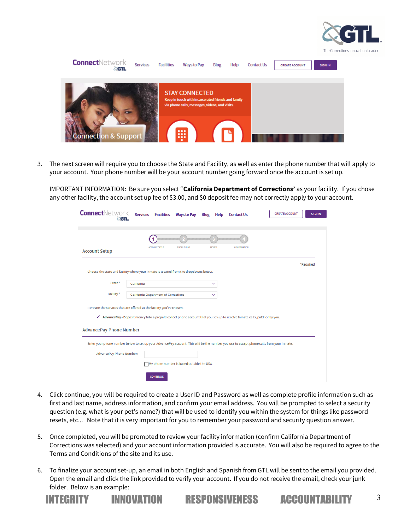

| <b>Connect</b> Network<br><b>CGTL</b> | Services | <b>Facilities</b> | Ways to Pay                                                                                                                   | Blog | Help | <b>Contact Us</b> | <b>CREATE ACCOUNT</b> | <b>SIGN IN</b> |
|---------------------------------------|----------|-------------------|-------------------------------------------------------------------------------------------------------------------------------|------|------|-------------------|-----------------------|----------------|
|                                       |          |                   | <b>STAY CONNECTED</b><br>Keep in touch with incarcerated friends and family<br>via phone calls, messages, videos, and visits. |      |      |                   |                       |                |
| onnection & Support                   |          |                   | 冊                                                                                                                             |      |      |                   |                       |                |

3. The next screen will require you to choose the State and Facility, as well as enter the phone number that will apply to your account. Your phone number will be your account number going forward once the account is set up.

IMPORTANT INFORMATION: Be sure you select "**California Department of Corrections'** as your facility. If you chose any other facility, the account set up fee of \$3.00, and \$0 deposit fee may not correctly apply to your account.

| <b>Connect</b> Network<br><b>SGTL</b> | <b>CREATE ACCOUNT</b><br><b>Services</b><br><b>Facilities Ways to Pay</b><br><b>Blog</b><br><b>Contact Us</b><br>Help                    | <b>SIGN IN</b> |
|---------------------------------------|------------------------------------------------------------------------------------------------------------------------------------------|----------------|
|                                       |                                                                                                                                          |                |
| <b>Account Setup</b>                  | <b>ACCOUNT SETUP</b><br><b>PROFILE INFO</b><br><b>REVIEW</b><br><b>CONFIRMATION</b>                                                      |                |
|                                       |                                                                                                                                          | *Regulred      |
|                                       | Choose the state and facility where your inmate is located from the dropdowns below.                                                     |                |
| State <sup>*</sup>                    | California<br>$\checkmark$                                                                                                               |                |
| Facility*                             | <b>California Department of Corrections</b><br>v                                                                                         |                |
|                                       | Here are the services that are offered at the facility you've chosen.                                                                    |                |
| ✓                                     | AdvancePay - Deposit money into a prepaid collect phone account that you set-up to receive inmate calls, paid for by you.                |                |
| <b>AdvancePay Phone Number</b>        |                                                                                                                                          |                |
|                                       | Enter your phone number below to set up your AdvancePay account. This will be the number you use to accept phone calls from your inmate. |                |
| AdvancePay Phone Number:              |                                                                                                                                          |                |
|                                       | My phone number Is based outside the USA.                                                                                                |                |
|                                       | <b>CONTINUE</b>                                                                                                                          |                |

- 4. Click continue, you will be required to create a User ID and Password as well as complete profile information such as first and last name, address information, and confirm your email address. You will be prompted to select a security question (e.g. what is your pet's name?) that will be used to identify you within the system for things like password resets, etc... Note that it is very important for you to remember your password and security question answer.
- 5. Once completed, you will be prompted to review your facility information (confirm California Department of Corrections was selected) and your account information provided is accurate. You will also be required to agree to the Terms and Conditions of the site and its use.
- 6. To finalize your account set-up, an email in both English and Spanish from GTL will be sent to the email you provided. Open the email and click the link provided to verify your account. If you do not receive the email, check your junk folder. Below is an example:



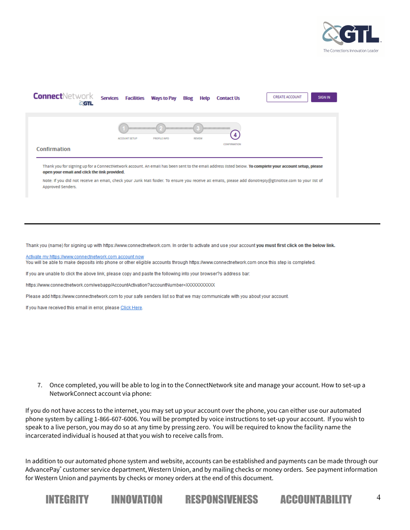



Thank you (name) for signing up with https://www.connectnetwork.com. In order to activate and use your account you must first click on the below link.

Activate my https://www.connectnetwork.com account now

You will be able to make deposits into phone or other eligible accounts through https://www.connectnetwork.com once this step is completed.

If you are unable to click the above link, please copy and paste the following into your browser?s address bar:

https://www.connectnetwork.com/webapp/AccountActivation?accountNumber=XXXXXXXXXXX

Please add https://www.connectnetwork.com to your safe senders list so that we may communicate with you about your account.

If you have received this email in error, please Click Here.

7. Once completed, you will be able to log in to the ConnectNetwork site and manage your account. How to set-up a NetworkConnect account via phone:

If you do not have access to the internet, you may set up your account over the phone, you can either use our automated phone system by calling 1-866-607-6006. You will be prompted by voice instructions to set-up your account. If you wish to speak to a live person, you may do so at any time by pressing zero. You will be required to know the facility name the incarcerated individual is housed at that you wish to receive calls from.

In addition to our automated phone system and website, accounts can be established and payments can be made through our AdvancePay® customer service department, Western Union, and by mailing checks or money orders. See payment information for Western Union and payments by checks or money orders at the end of this document.

INTEGRITY INNOVATION RESPONSIVENESS ACCOUNTABILITY <sup>4</sup>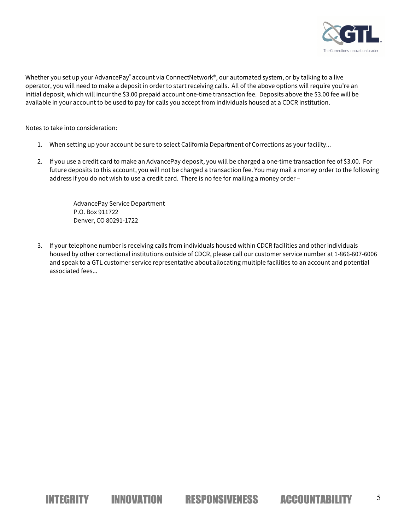

Whether you set up your AdvancePay® account via ConnectNetwork®, our automated system, or by talking to a live operator, you will need to make a deposit in order to start receiving calls. All of the above options will require you're an initial deposit, which will incur the \$3.00 prepaid account one-time transaction fee. Deposits above the \$3.00 fee will be available in your account to be used to pay for calls you accept from individuals housed at a CDCR institution.

Notes to take into consideration:

- 1. When setting up your account be sure to select California Department of Corrections as your facility...
- 2. If you use a credit card to make an AdvancePay deposit, you will be charged a one-time transaction fee of \$3.00. For future deposits to this account, you will not be charged a transaction fee. You may mail a money order to the following address if you do not wish to use a credit card. There is no fee for mailing a money order –

AdvancePay Service Department P.O. Box 911722 Denver, CO 80291-1722

3. If your telephone number is receiving calls from individuals housed within CDCR facilities and other individuals housed by other correctional institutions outside of CDCR, please call our customer service number at 1-866-607-6006 and speak to a GTL customer service representative about allocating multiple facilities to an account and potential associated fees...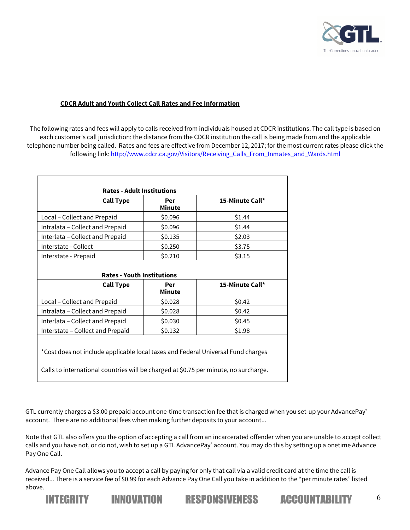

#### **CDCR Adult and Youth Collect Call Rates and Fee Information**

The following rates and fees will apply to calls received from individuals housed at CDCR institutions. The call type is based on each customer's call jurisdiction; the distance from the CDCR institution the call is being made from and the applicable telephone number being called. Rates and fees are effective from December 12, 2017; for the most current rates please click the following link: http://www.cdcr.ca.gov/Visitors/Receiving\_Calls\_From\_Inmates\_and\_Wards.html

| <b>Call Type</b>                                      | Per<br>Minute        | 15-Minute Call*           |
|-------------------------------------------------------|----------------------|---------------------------|
| Local - Collect and Prepaid                           | \$0.096              | \$1.44                    |
| Intralata – Collect and Prepaid                       | \$0.096              | \$1.44                    |
| Interlata – Collect and Prepaid                       | \$0.135              | \$2.03                    |
| Interstate - Collect                                  | \$0.250              | \$3.75                    |
|                                                       |                      |                           |
| Interstate - Prepaid                                  | \$0.210              | \$3.15                    |
| <b>Rates - Youth Institutions</b><br><b>Call Type</b> | Per<br><b>Minute</b> |                           |
| Local - Collect and Prepaid                           | \$0.028              | 15-Minute Call*<br>\$0.42 |
| Intralata - Collect and Prepaid                       | \$0.028              | \$0.42                    |
| Interlata - Collect and Prepaid                       | \$0.030              | \$0.45                    |

Calls to international countries will be charged at \$0.75 per minute, no surcharge.

GTL currently charges a \$3.00 prepaid account one-time transaction fee that is charged when you set-up your AdvancePay® account. There are no additional fees when making further deposits to your account...

Note that GTL also offers you the option of accepting a call from an incarcerated offender when you are unable to accept collect calls and you have not, or do not, wish to set up a GTL AdvancePay<sup>®</sup> account. You may do this by setting up a onetime Advance Pay One Call.

Advance Pay One Call allows you to accept a call by paying for only that call via a valid credit card at the time the call is received... There is a service fee of \$0.99 for each Advance Pay One Call you take in addition to the "per minute rates" listed above.

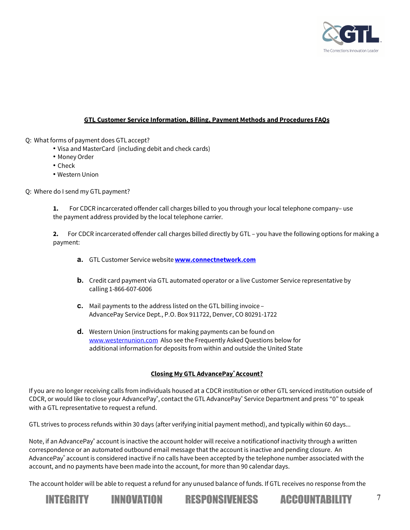

# **GTL Customer Service Information, Billing, Payment Methods and Procedures FAQs**

Q: What forms of payment does GTL accept?

- Visa and MasterCard (including debit and check cards)
- Money Order
- Check
- Western Union

Q: Where do I send my GTLpayment?

**1.** For CDCR incarcerated offender call charges billed to you through your local telephone company– use the payment address provided by the local telephone carrier.

**2.** For CDCR incarcerated offender call charges billed directly by GTL – you have the following options for making a payment:

- **a.** GTL Customer Service website**www.connectnetwork.com**
- **b.** Credit card payment via GTL automated operator or a live Customer Service representative by calling 1-866-607-6006
- **c.** Mail payments to the address listed on the GTL billing invoice AdvancePay Service Dept., P.O. Box 911722, Denver, CO 80291-1722
- **d.** Western Union (instructions for making payments can be found on www.westernunion.com Also see the Frequently Asked Questions below for additional information for deposits from within and outside the United State

#### **Closing My GTL AdvancePay® Account?**

If you are no longer receiving calls from individuals housed at a CDCR institution or other GTL serviced institution outside of CDCR, or would like to close your AdvancePay˚, contact the GTL AdvancePay˚ Service Department and press "0" to speak with a GTL representative to request a refund.

GTL strives to process refunds within 30 days (after verifying initial payment method), and typically within 60 days...

Note, if an AdvancePay® account is inactive the account holder will receive a notificationof inactivity through a written correspondence or an automated outbound email message that the account is inactive and pending closure. An AdvancePay® account is considered inactive if no calls have been accepted by the telephone number associated with the account, and no payments have been made into the account, for more than 90 calendar days.

The account holder will be able to request a refund for any unused balance of funds. If GTL receives no response from the







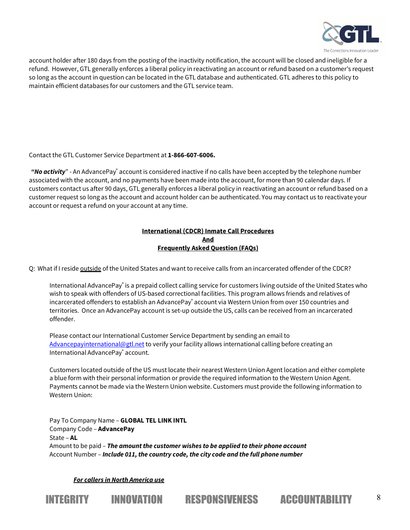

account holder after 180 days from the posting of the inactivity notification, the account will be closed and ineligible for a refund. However, GTL generally enforces a liberal policy in reactivating an account or refund based on a customer's request so long as the account in question can be located in the GTL database and authenticated. GTL adheres to this policy to maintain efficient databases for our customers and the GTL service team.

Contact the GTL Customer Service Department at **1-866-607-6006.**

*"No activity*" - An AdvancePay® account is considered inactive if no calls have been accepted by the telephone number associated with the account, and no payments have been made into the account, for more than 90 calendar days. If customers contact us after 90 days, GTL generally enforces a liberal policy in reactivating an account or refund based on a customer request so long as the account and account holder can be authenticated. You may contact us to reactivate your account or request a refund on your account at any time.

#### **International (CDCR) Inmate Call Procedures And Frequently Asked Question (FAQs)**

Q: What if I reside outside of the United States and want to receive calls from an incarcerated offender of the CDCR?

International AdvancePay® is a prepaid collect calling service for customers living outside of the United States who wish to speak with offenders of US-based correctional facilities. This program allows friends and relatives of incarcerated offenders to establish an AdvancePay<sup>®</sup> account via Western Union from over 150 countries and territories. Once an AdvancePay account is set-up outside the US, calls can be received from an incarcerated offender.

Please contact our International Customer Service Department by sending an email to Advancepayinternational@gtl.net to verify your facility allows international calling before creating an International AdvancePay® account.

Customers located outside of the US must locate their nearest Western Union Agent location and either complete a blue form with their personal information or provide the required information to the Western Union Agent. Payments cannot be made via the Western Union website. Customers must provide the following information to Western Union:

INTEGRITY INNOVATION RESPONSIVENESS ACCOUNTABILITY <sup>8</sup>

Pay To Company Name – **GLOBAL TEL LINK INTL** Company Code – **AdvancePay** State – **AL** Amount to be paid – *The amount the customer wishes to be applied to their phone account* Account Number – *Include 011, the country code, the city code and the full phone number*

*For callers in North America use*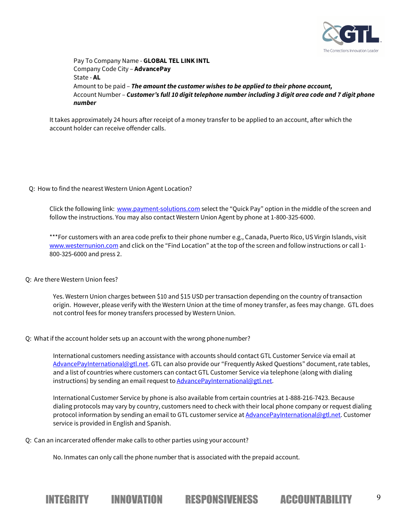

Pay To Company Name - **GLOBAL TEL LINK INTL** Company Code City – **AdvancePay** State - **AL** Amount to be paid – *The amount the customer wishes to be applied to their phone account,* Account Number - *Customer's full 10 digit telephone number including 3 digit area code and 7 digit phone number*

It takes approximately 24 hours after receipt of a money transfer to be applied to an account, after which the account holder can receive offender calls.

Q: How to find the nearest Western Union Agent Location?

Click the following link: www.payment-solutions.com select the "Quick Pay" option in the middle of the screen and follow the instructions. You may also contact Western Union Agent by phone at 1-800-325-6000.

\*\*\*For customers with an area code prefix to their phone number e.g., Canada, Puerto Rico, US Virgin Islands, visit www.westernunion.com and click on the "Find Location" at the top of the screen and follow instructions or call 1-800-325-6000 and press 2.

Q: Are there Western Union fees?

Yes. Western Union charges between \$10 and \$15 USD per transaction depending on the country of transaction origin. However, please verify with the Western Union at the time of money transfer, as fees may change. GTL does not control fees for money transfers processed by Western Union.

Q: What if the account holder sets up an account with the wrong phonenumber?

International customers needing assistance with accounts should contact GTL Customer Service via email at AdvancePayInternational@gtl.net. GTL can also provide our "Frequently Asked Questions" document, rate tables, and a list of countries where customers can contact GTL Customer Service via telephone (along with dialing instructions) by sending an email request to **AdvancePayInternational@gtl.net**.

International Customer Service by phone is also available from certain countries at 1-888-216-7423. Because dialing protocols may vary by country, customers need to check with their local phone company or request dialing protocol information by sending an email to GTL customer service at AdvancePayInternational@gtl.net. Customer service is provided in English and Spanish.

Q: Can an incarcerated offender make calls to other parties using your account?

No. Inmates can only call the phone number that is associated with the prepaid account.